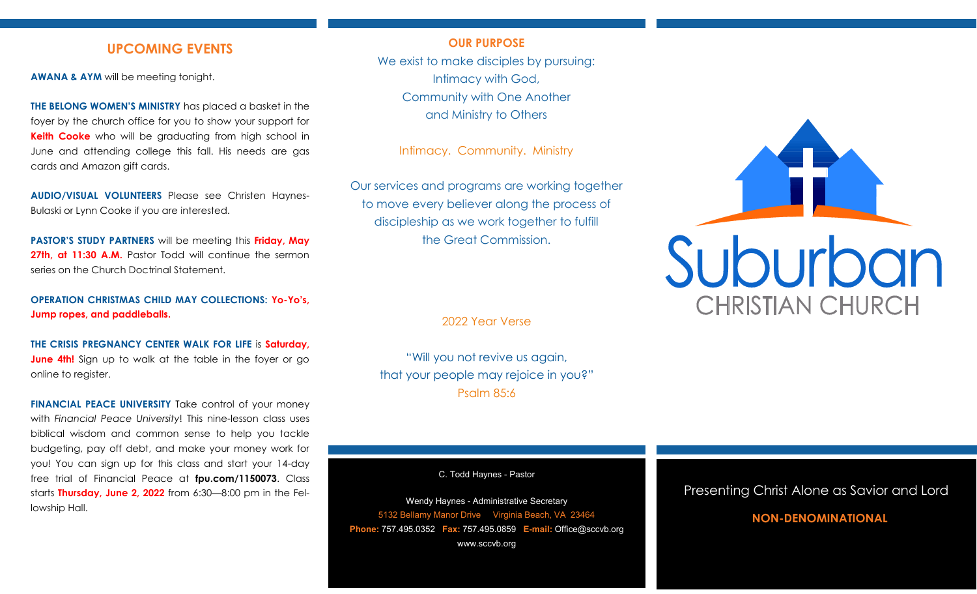## **UPCOMING EVENTS**

**AWANA & AYM** will be meeting tonight.

**THE BELONG WOMEN'S MINISTRY** has placed a basket in the foyer by the church office for you to show your support for **Keith Cooke** who will be graduating from high school in June and attending college this fall. His needs are gas cards and Amazon gift cards.

**AUDIO/VISUAL VOLUNTEERS** Please see Christen Haynes-Bulaski or Lynn Cooke if you are interested.

**PASTOR'S STUDY PARTNERS** will be meeting this **Friday, May 27th, at 11:30 A.M.** Pastor Todd will continue the sermon series on the Church Doctrinal Statement.

**OPERATION CHRISTMAS CHILD MAY COLLECTIONS: Yo-Yo's, Jump ropes, and paddleballs.**

**THE CRISIS PREGNANCY CENTER WALK FOR LIFE** is **Saturday, June 4th!** Sign up to walk at the table in the foyer or go online to register.

**FINANCIAL PEACE UNIVERSITY** Take control of your money with *Financial Peace University*! This nine-lesson class uses biblical wisdom and common sense to help you tackle budgeting, pay off debt, and make your money work for you! You can sign up for this class and start your 14-day free trial of Financial Peace at **fpu.com/1150073**. Class starts **Thursday, June 2, 2022** from 6:30—8:00 pm in the Fellowship Hall.

#### **OUR PURPOSE**

We exist to make disciples by pursuing: Intimacy with God, Community with One Another and Ministry to Others

Intimacy. Community. Ministry

Our services and programs are working together to move every believer along the process of discipleship as we work together to fulfill the Great Commission.

2022 Year Verse

"Will you not revive us again, that your people may rejoice in you?" Psalm 85:6

C. Todd Haynes - Pastor

Wendy Haynes - Administrative Secretary 5132 Bellamy Manor Drive Virginia Beach, VA 23464 **Phone:** 757.495.0352 **Fax:** 757.495.0859 **E-mail:** Office@sccvb.org www.sccvb.org



### Presenting Christ Alone as Savior and Lord

## **NON-DENOMINATIONAL**